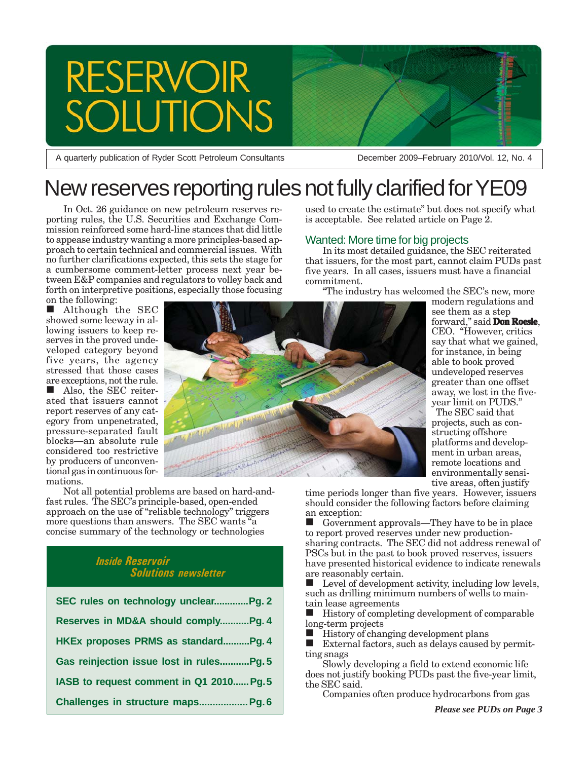# RESERVOIR<br>SOLUTIONS

A quarterly publication of Ryder Scott Petroleum Consultants December 2009–February 2010/Vol. 12, No. 4

# New reserves reporting rules not fully clarified for YE09

In Oct. 26 guidance on new petroleum reserves reporting rules, the U.S. Securities and Exchange Commission reinforced some hard-line stances that did little to appease industry wanting a more principles-based approach to certain technical and commercial issues. With no further clarifications expected, this sets the stage for a cumbersome comment-letter process next year between E&P companies and regulators to volley back and forth on interpretive positions, especially those focusing on the following:

Although the SEC showed some leeway in allowing issuers to keep reserves in the proved undeveloped category beyond five years, the agency stressed that those cases are exceptions, not the rule.

 Also, the SEC reiterated that issuers cannot report reserves of any category from unpenetrated, pressure-separated fault blocks—an absolute rule considered too restrictive by producers of unconventional gas in continuous formations.



Not all potential problems are based on hard-andfast rules. The SEC's principle-based, open-ended approach on the use of "reliable technology" triggers more questions than answers. The SEC wants "a" concise summary of the technology or technologies

## *Inside Reservoir Solutions newsletter*

| SEC rules on technology unclear Pg. 2    |
|------------------------------------------|
| Reserves in MD&A should complyPg. 4      |
| HKEx proposes PRMS as standardPg. 4      |
| Gas reinjection issue lost in rulesPg.5  |
| IASB to request comment in Q1 2010 Pg. 5 |
| Challenges in structure maps Pg. 6       |

used to create the estimate" but does not specify what is acceptable. See related article on Page  $\hat{2}$ .

## Wanted: More time for big projects

In its most detailed guidance, the SEC reiterated that issuers, for the most part, cannot claim PUDs past five years. In all cases, issuers must have a financial commitment.

"The industry has welcomed the SEC's new, more

modern regulations and see them as a step forward," said **Don Roesle**, CEO. "However, critics say that what we gained, for instance, in being able to book proved undeveloped reserves greater than one offset away, we lost in the fiveyear limit on PUDS."

 The SEC said that projects, such as constructing offshore platforms and development in urban areas, remote locations and environmentally sensitive areas, often justify

time periods longer than five years. However, issuers should consider the following factors before claiming an exception:

 Government approvals—They have to be in place to report proved reserves under new productionsharing contracts. The SEC did not address renewal of PSCs but in the past to book proved reserves, issuers have presented historical evidence to indicate renewals are reasonably certain.

 Level of development activity, including low levels, such as drilling minimum numbers of wells to maintain lease agreements

 $\blacksquare$  History of completing development of comparable long-term projects

History of changing development plans

 External factors, such as delays caused by permitting snags

Slowly developing a field to extend economic life does not justify booking PUDs past the five-year limit, the SEC said.

Companies often produce hydrocarbons from gas

*Please see PUDs on Page 3*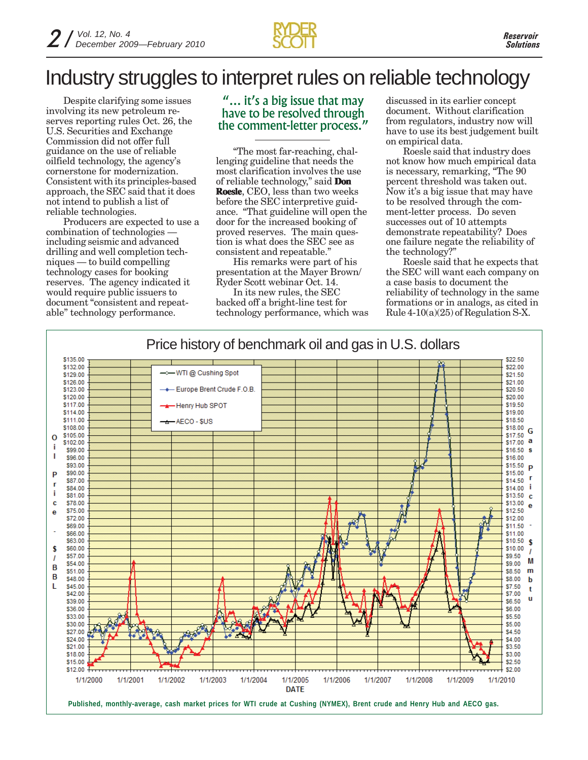

# Industry struggles to interpret rules on reliable technology

Despite clarifying some issues involving its new petroleum reserves reporting rules Oct. 26, the U.S. Securities and Exchange Commission did not offer full guidance on the use of reliable oilfield technology, the agency's cornerstone for modernization. Consistent with its principles-based approach, the SEC said that it does not intend to publish a list of reliable technologies.

Producers are expected to use a combination of technologies including seismic and advanced drilling and well completion techniques — to build compelling technology cases for booking reserves. The agency indicated it would require public issuers to document "consistent and repeatable" technology performance.

## "... it's a big issue that may have to be resolved through the comment-letter process."

"The most far-reaching, challenging guideline that needs the most clarification involves the use of reliable technology," said **Don Roesle**, CEO, less than two weeks before the SEC interpretive guidance. "That guideline will open the door for the increased booking of proved reserves. The main question is what does the SEC see as consistent and repeatable."

His remarks were part of his presentation at the Mayer Brown/ Ryder Scott webinar Oct. 14.

In its new rules, the SEC backed off a bright-line test for technology performance, which was discussed in its earlier concept document. Without clarification from regulators, industry now will have to use its best judgement built on empirical data.

Roesle said that industry does not know how much empirical data is necessary, remarking, "The 90 percent threshold was taken out. Now it's a big issue that may have to be resolved through the comment-letter process. Do seven successes out of 10 attempts demonstrate repeatability? Does one failure negate the reliability of the technology?"

Roesle said that he expects that the SEC will want each company on a case basis to document the reliability of technology in the same formations or in analogs, as cited in Rule  $4-10(a)(25)$  of Regulation S-X.

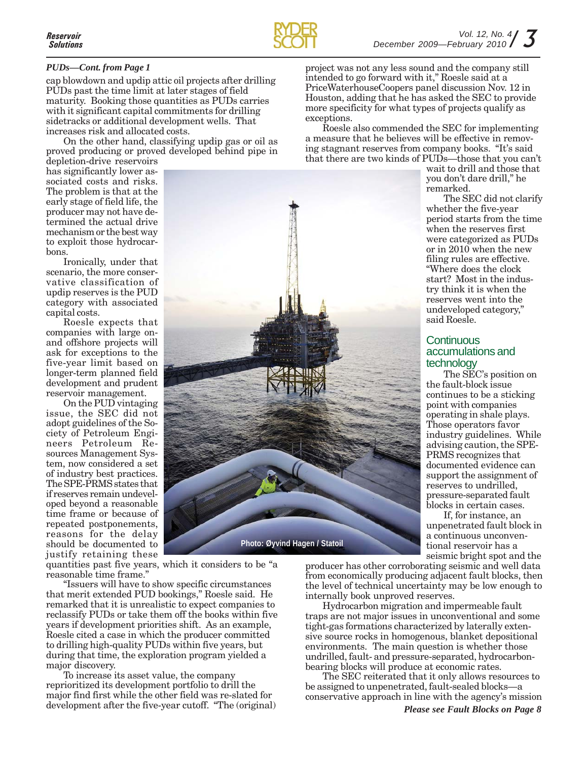

### *PUDs—Cont. from Page 1*

cap blowdown and updip attic oil projects after drilling PUDs past the time limit at later stages of field maturity. Booking those quantities as PUDs carries with it significant capital commitments for drilling sidetracks or additional development wells. That increases risk and allocated costs.

On the other hand, classifying updip gas or oil as proved producing or proved developed behind pipe in

depletion-drive reservoirs has significantly lower associated costs and risks. The problem is that at the early stage of field life, the producer may not have determined the actual drive mechanism or the best way to exploit those hydrocarbons.

Ironically, under that scenario, the more conservative classification of updip reserves is the PUD category with associated capital costs.

Roesle expects that companies with large onand offshore projects will ask for exceptions to the five-year limit based on longer-term planned field development and prudent reservoir management.

On the PUD vintaging issue, the SEC did not adopt guidelines of the Society of Petroleum Engineers Petroleum Resources Management System, now considered a set of industry best practices. The SPE-PRMS states that if reserves remain undeveloped beyond a reasonable time frame or because of repeated postponements, reasons for the delay should be documented to justify retaining these

**Photo: Øyvind Hagen / Statoil**

quantities past five years, which it considers to be "a reasonable time frame."

"Issuers will have to show specific circumstances that merit extended PUD bookings," Roesle said. He remarked that it is unrealistic to expect companies to reclassify PUDs or take them off the books within five years if development priorities shift. As an example, Roesle cited a case in which the producer committed to drilling high-quality PUDs within five years, but during that time, the exploration program yielded a major discovery.

To increase its asset value, the company reprioritized its development portfolio to drill the major find first while the other field was re-slated for development after the five-year cutoff. "The (original)

project was not any less sound and the company still intended to go forward with it," Roesle said at a PriceWaterhouseCoopers panel discussion Nov. 12 in Houston, adding that he has asked the SEC to provide more specificity for what types of projects qualify as exceptions.

Roesle also commended the SEC for implementing a measure that he believes will be effective in removing stagnant reserves from company books. "It's said that there are two kinds of PUDs—those that you can't

wait to drill and those that you don't dare drill," he remarked.

The SEC did not clarify whether the five-year period starts from the time when the reserves first were categorized as PUDs or in 2010 when the new filing rules are effective. "Where does the clock start? Most in the industry think it is when the reserves went into the undeveloped category," said Roesle.

## Continuous accumulations and technology

The SEC's position on the fault-block issue continues to be a sticking point with companies operating in shale plays. Those operators favor industry guidelines. While advising caution, the SPE-PRMS recognizes that documented evidence can support the assignment of reserves to undrilled, pressure-separated fault blocks in certain cases.

If, for instance, an unpenetrated fault block in a continuous unconventional reservoir has a seismic bright spot and the

producer has other corroborating seismic and well data from economically producing adjacent fault blocks, then the level of technical uncertainty may be low enough to internally book unproved reserves.

Hydrocarbon migration and impermeable fault traps are not major issues in unconventional and some tight-gas formations characterized by laterally extensive source rocks in homogenous, blanket depositional environments. The main question is whether those undrilled, fault- and pressure-separated, hydrocarbonbearing blocks will produce at economic rates.

The SEC reiterated that it only allows resources to be assigned to unpenetrated, fault-sealed blocks—a conservative approach in line with the agency's mission *Please see Fault Blocks on Page 8*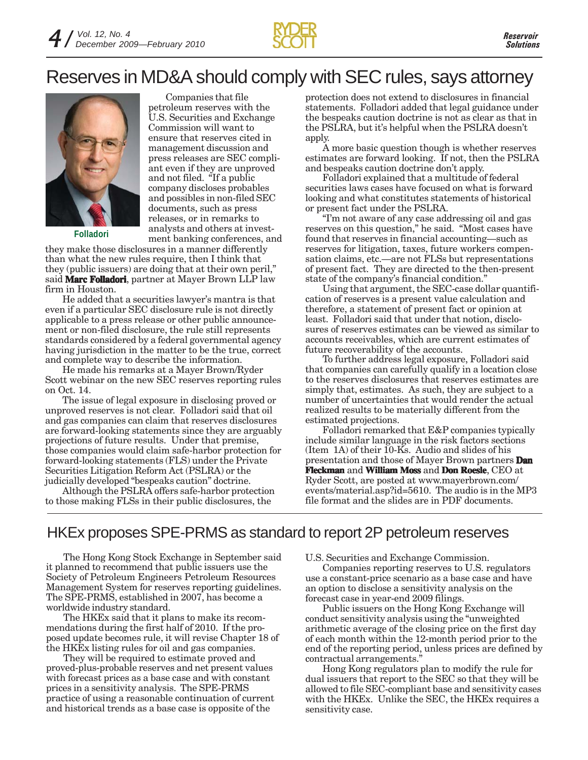

## Reserves in MD&A should comply with SEC rules, says attorney



**Folladori**

Companies that file petroleum reserves with the U.S. Securities and Exchange Commission will want to ensure that reserves cited in management discussion and press releases are SEC compliant even if they are unproved and not filed. "If a public company discloses probables and possibles in non-filed SEC documents, such as press releases, or in remarks to analysts and others at investment banking conferences, and

they make those disclosures in a manner differently than what the new rules require, then I think that they (public issuers) are doing that at their own peril," said **Marc Folladori**, partner at Mayer Brown LLP law firm in Houston.

He added that a securities lawyer's mantra is that even if a particular SEC disclosure rule is not directly applicable to a press release or other public announcement or non-filed disclosure, the rule still represents standards considered by a federal governmental agency having jurisdiction in the matter to be the true, correct and complete way to describe the information.

He made his remarks at a Mayer Brown/Ryder Scott webinar on the new SEC reserves reporting rules on Oct. 14.

The issue of legal exposure in disclosing proved or unproved reserves is not clear. Folladori said that oil and gas companies can claim that reserves disclosures are forward-looking statements since they are arguably projections of future results. Under that premise, those companies would claim safe-harbor protection for forward-looking statements (FLS) under the Private Securities Litigation Reform Act (PSLRA) or the judicially developed "bespeaks caution" doctrine.

Although the PSLRA offers safe-harbor protection to those making FLSs in their public disclosures, the

protection does not extend to disclosures in financial statements. Folladori added that legal guidance under the bespeaks caution doctrine is not as clear as that in the PSLRA, but it's helpful when the PSLRA doesn't apply.

A more basic question though is whether reserves estimates are forward looking. If not, then the PSLRA and bespeaks caution doctrine don't apply.

Folladori explained that a multitude of federal securities laws cases have focused on what is forward looking and what constitutes statements of historical or present fact under the PSLRA.

"I'm not aware of any case addressing oil and gas reserves on this question," he said. "Most cases have found that reserves in financial accounting—such as reserves for litigation, taxes, future workers compensation claims, etc.—are not FLSs but representations of present fact. They are directed to the then-present state of the company's financial condition."

Using that argument, the SEC-case dollar quantification of reserves is a present value calculation and therefore, a statement of present fact or opinion at least. Folladori said that under that notion, disclosures of reserves estimates can be viewed as similar to accounts receivables, which are current estimates of future recoverability of the accounts.

To further address legal exposure, Folladori said that companies can carefully qualify in a location close to the reserves disclosures that reserves estimates are simply that, estimates. As such, they are subject to a number of uncertainties that would render the actual realized results to be materially different from the estimated projections.

Folladori remarked that E&P companies typically include similar language in the risk factors sections (Item 1A) of their 10-Ks. Audio and slides of his presentation and those of Mayer Brown partners **Dan Fleckman** and **William Moss** and **Don Roesle**, CEO at Ryder Scott, are posted at www.mayerbrown.com/ events/material.asp?id=5610. The audio is in the MP3 file format and the slides are in PDF documents.

## HKEx proposes SPE-PRMS as standard to report 2P petroleum reserves

The Hong Kong Stock Exchange in September said it planned to recommend that public issuers use the Society of Petroleum Engineers Petroleum Resources Management System for reserves reporting guidelines. The SPE-PRMS, established in 2007, has become a worldwide industry standard.

The HKEx said that it plans to make its recommendations during the first half of 2010. If the proposed update becomes rule, it will revise Chapter 18 of the HKEx listing rules for oil and gas companies.

They will be required to estimate proved and proved-plus-probable reserves and net present values with forecast prices as a base case and with constant prices in a sensitivity analysis. The SPE-PRMS practice of using a reasonable continuation of current and historical trends as a base case is opposite of the

U.S. Securities and Exchange Commission.

Companies reporting reserves to U.S. regulators use a constant-price scenario as a base case and have an option to disclose a sensitivity analysis on the forecast case in year-end 2009 filings.

Public issuers on the Hong Kong Exchange will conduct sensitivity analysis using the "unweighted arithmetic average of the closing price on the first day of each month within the 12-month period prior to the end of the reporting period, unless prices are defined by contractual arrangements."

Hong Kong regulators plan to modify the rule for dual issuers that report to the SEC so that they will be allowed to file SEC-compliant base and sensitivity cases with the HKEx. Unlike the SEC, the HKEx requires a sensitivity case.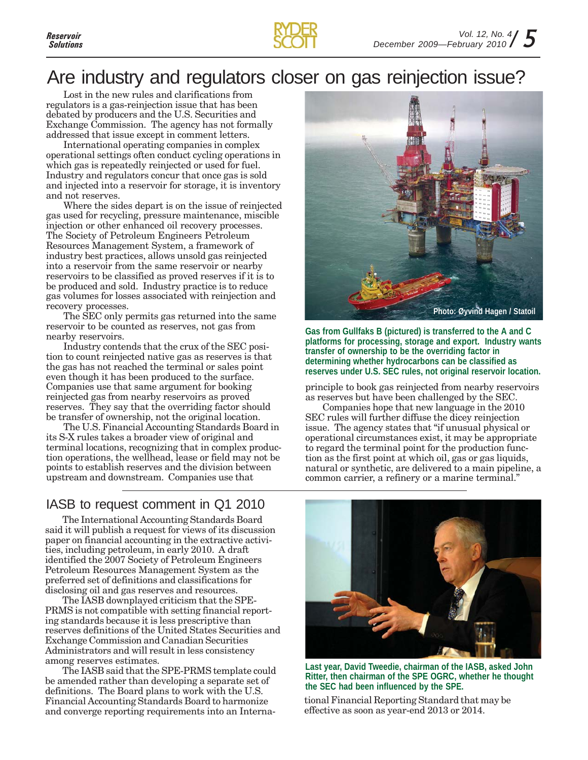

## Are industry and regulators closer on gas reinjection issue?

Lost in the new rules and clarifications from regulators is a gas-reinjection issue that has been debated by producers and the U.S. Securities and Exchange Commission. The agency has not formally addressed that issue except in comment letters.

International operating companies in complex operational settings often conduct cycling operations in which gas is repeatedly reinjected or used for fuel. Industry and regulators concur that once gas is sold and injected into a reservoir for storage, it is inventory and not reserves.

Where the sides depart is on the issue of reinjected gas used for recycling, pressure maintenance, miscible injection or other enhanced oil recovery processes. The Society of Petroleum Engineers Petroleum Resources Management System, a framework of industry best practices, allows unsold gas reinjected into a reservoir from the same reservoir or nearby reservoirs to be classified as proved reserves if it is to be produced and sold. Industry practice is to reduce gas volumes for losses associated with reinjection and recovery processes.

The SEC only permits gas returned into the same reservoir to be counted as reserves, not gas from nearby reservoirs.

Industry contends that the crux of the SEC position to count reinjected native gas as reserves is that the gas has not reached the terminal or sales point even though it has been produced to the surface. Companies use that same argument for booking reinjected gas from nearby reservoirs as proved reserves. They say that the overriding factor should be transfer of ownership, not the original location.

The U.S. Financial Accounting Standards Board in its S-X rules takes a broader view of original and terminal locations, recognizing that in complex production operations, the wellhead, lease or field may not be points to establish reserves and the division between upstream and downstream. Companies use that

## IASB to request comment in Q1 2010

The International Accounting Standards Board said it will publish a request for views of its discussion paper on financial accounting in the extractive activities, including petroleum, in early 2010. A draft identified the 2007 Society of Petroleum Engineers Petroleum Resources Management System as the preferred set of definitions and classifications for disclosing oil and gas reserves and resources.

The IASB downplayed criticism that the SPE-PRMS is not compatible with setting financial reporting standards because it is less prescriptive than reserves definitions of the United States Securities and Exchange Commission and Canadian Securities Administrators and will result in less consistency among reserves estimates.

The IASB said that the SPE-PRMS template could be amended rather than developing a separate set of definitions. The Board plans to work with the U.S. Financial Accounting Standards Board to harmonize and converge reporting requirements into an Interna-



**Gas from Gullfaks B (pictured) is transferred to the A and C platforms for processing, storage and export. Industry wants transfer of ownership to be the overriding factor in determining whether hydrocarbons can be classified as reserves under U.S. SEC rules, not original reservoir location.**

principle to book gas reinjected from nearby reservoirs as reserves but have been challenged by the SEC.

Companies hope that new language in the 2010 SEC rules will further diffuse the dicey reinjection issue. The agency states that "if unusual physical or operational circumstances exist, it may be appropriate to regard the terminal point for the production function as the first point at which oil, gas or gas liquids, natural or synthetic, are delivered to a main pipeline, a common carrier, a refinery or a marine terminal."



**Last year, David Tweedie, chairman of the IASB, asked John Ritter, then chairman of the SPE OGRC, whether he thought the SEC had been influenced by the SPE.**

tional Financial Reporting Standard that may be effective as soon as year-end 2013 or 2014.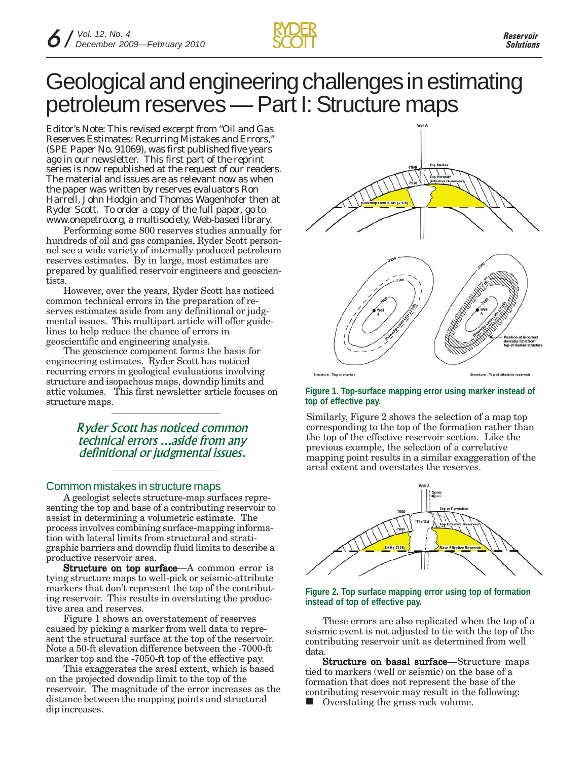

# Geological and engineering challenges in estimating petroleum reserves — Part I: Structure maps

*Editor's Note: This revised excerpt from "Oil and Gas Reserves Estimates: Recurring Mistakes and Errors," (SPE Paper No. 91069), was first published five years ago in our newsletter. This first part of the reprint series is now republished at the request of our readers. The material and issues are as relevant now as when the paper was written by reserves evaluators Ron Harrell, John Hodgin and Thomas Wagenhofer then at Ryder Scott. To order a copy of the full paper, go to www.onepetro.org, a multisociety, Web-based library.*

Performing some 800 reserves studies annually for hundreds of oil and gas companies, Ryder Scott personnel see a wide variety of internally produced petroleum reserves estimates. By in large, most estimates are prepared by qualified reservoir engineers and geoscientists.

However, over the years, Ryder Scott has noticed common technical errors in the preparation of reserves estimates aside from any definitional or judgmental issues. This multipart article will offer guidelines to help reduce the chance of errors in geoscientific and engineering analysis.

The geoscience component forms the basis for engineering estimates. Ryder Scott has noticed recurring errors in geological evaluations involving structure and isopachous maps, downdip limits and attic volumes. This first newsletter article focuses on structure maps.

> *Ryder Scott has noticed common technical errors ...aside from any definitional or judgmental issues.*

## Common mistakes in structure maps

A geologist selects structure-map surfaces representing the top and base of a contributing reservoir to assist in determining a volumetric estimate. The process involves combining surface-mapping information with lateral limits from structural and stratigraphic barriers and downdip fluid limits to describe a productive reservoir area.

Structure on top surface—A common error is tying structure maps to well-pick or seismic-attribute markers that don't represent the top of the contributing reservoir. This results in overstating the productive area and reserves.

Figure 1 shows an overstatement of reserves caused by picking a marker from well data to represent the structural surface at the top of the reservoir. Note a 50-ft elevation difference between the -7000-ft marker top and the -7050-ft top of the effective pay.

This exaggerates the areal extent, which is based on the projected downdip limit to the top of the reservoir. The magnitude of the error increases as the distance between the mapping points and structural dip increases.



## **Figure 1. Top-surface mapping error using marker instead of top of effective pay.**

Similarly, Figure 2 shows the selection of a map top corresponding to the top of the formation rather than the top of the effective reservoir section. Like the previous example, the selection of a correlative mapping point results in a similar exaggeration of the areal extent and overstates the reserves.



### **Figure 2. Top surface mapping error using top of formation instead of top of effective pay.**

These errors are also replicated when the top of a seismic event is not adjusted to tie with the top of the contributing reservoir unit as determined from well data.

**Structure on basal surface**—Structure maps tied to markers (well or seismic) on the base of a formation that does not represent the base of the contributing reservoir may result in the following:

Overstating the gross rock volume.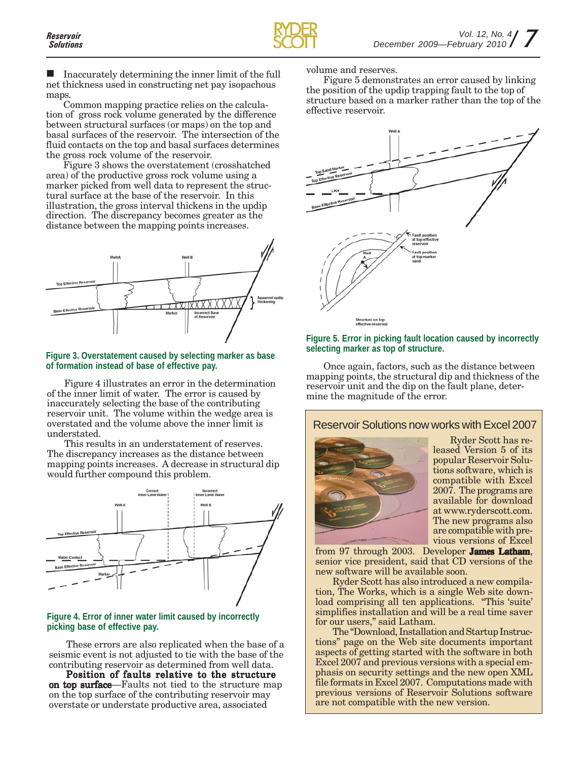Inaccurately determining the inner limit of the full net thickness used in constructing net pay isopachous maps.

Common mapping practice relies on the calculation of gross rock volume generated by the difference between structural surfaces (or maps) on the top and basal surfaces of the reservoir. The intersection of the fluid contacts on the top and basal surfaces determines the gross rock volume of the reservoir.

Figure 3 shows the overstatement (crosshatched area) of the productive gross rock volume using a marker picked from well data to represent the structural surface at the base of the reservoir. In this illustration, the gross interval thickens in the updip direction. The discrepancy becomes greater as the distance between the mapping points increases.



## **Figure 3. Overstatement caused by selecting marker as base of formation instead of base of effective pay.**

Figure 4 illustrates an error in the determination of the inner limit of water. The error is caused by inaccurately selecting the base of the contributing reservoir unit. The volume within the wedge area is overstated and the volume above the inner limit is understated.

This results in an understatement of reserves. The discrepancy increases as the distance between mapping points increases. A decrease in structural dip would further compound this problem.



## **Figure 4. Error of inner water limit caused by incorrectly picking base of effective pay.**

These errors are also replicated when the base of a seismic event is not adjusted to tie with the base of the contributing reservoir as determined from well data.

Position of faults relative to the structure on top surface—Faults not tied to the structure map on the top surface of the contributing reservoir may overstate or understate productive area, associated

volume and reserves.

Figure 5 demonstrates an error caused by linking the position of the updip trapping fault to the top of structure based on a marker rather than the top of the effective reservoir.



## **Figure 5. Error in picking fault location caused by incorrectly selecting marker as top of structure.**

Once again, factors, such as the distance between mapping points, the structural dip and thickness of the reservoir unit and the dip on the fault plane, determine the magnitude of the error.

## Reservoir Solutions now works with Excel 2007



Ryder Scott has released Version 5 of its popular Reservoir Solutions software, which is compatible with Excel 2007. The programs are available for download at www.ryderscott.com. The new programs also are compatible with previous versions of Excel

from 97 through 2003. Developer **James Latham**, senior vice president, said that CD versions of the new software will be available soon.

Ryder Scott has also introduced a new compilation, The Works, which is a single Web site download comprising all ten applications. "This 'suite' simplifies installation and will be a real time saver for our users," said Latham.

The "Download, Installation and Startup Instructions" page on the Web site documents important aspects of getting started with the software in both Excel 2007 and previous versions with a special emphasis on security settings and the new open XML file formats in Excel 2007. Computations made with previous versions of Reservoir Solutions software are not compatible with the new version.